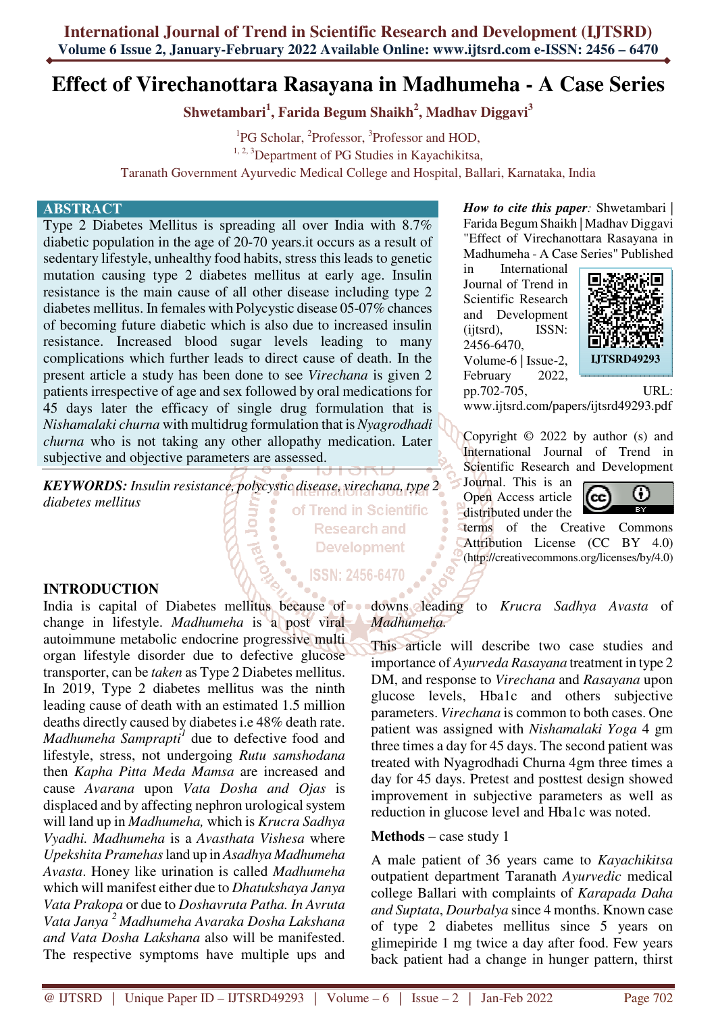# **Effect of Virechanottara Rasayana in Madhumeha - A Case Series**

**Shwetambari<sup>1</sup> , Farida Begum Shaikh<sup>2</sup> , Madhav Diggavi<sup>3</sup>**

<sup>1</sup>PG Scholar, <sup>2</sup>Professor, <sup>3</sup>Professor and HOD, <sup>1, 2, 3</sup>Department of PG Studies in Kayachikitsa, Taranath Government Ayurvedic Medical College and Hospital, Ballari, Karnataka, India

#### **ABSTRACT**

Type 2 Diabetes Mellitus is spreading all over India with 8.7% diabetic population in the age of 20-70 years.it occurs as a result of sedentary lifestyle, unhealthy food habits, stress this leads to genetic mutation causing type 2 diabetes mellitus at early age. Insulin resistance is the main cause of all other disease including type 2 diabetes mellitus. In females with Polycystic disease 05-07% chances of becoming future diabetic which is also due to increased insulin resistance. Increased blood sugar levels leading to many complications which further leads to direct cause of death. In the present article a study has been done to see *Virechana* is given 2 patients irrespective of age and sex followed by oral medications for 45 days later the efficacy of single drug formulation that is *Nishamalaki churna* with multidrug formulation that is *Nyagrodhadi churna* who is not taking any other allopathy medication. Later subjective and objective parameters are assessed.

*KEYWORDS: Insulin resistance, polycystic disease, virechana, type 2 diabetes mellitus*  of Trend in Scientific

**Research and Development** 

**ISSN: 2456-6470** 

#### **INTRODUCTION**

India is capital of Diabetes mellitus because of downs leading to *Krucra Sadhya Avasta* of change in lifestyle. *Madhumeha* is a post viral autoimmune metabolic endocrine progressive multi organ lifestyle disorder due to defective glucose transporter, can be *taken* as Type 2 Diabetes mellitus. In 2019, Type 2 diabetes mellitus was the ninth leading cause of death with an estimated 1.5 million deaths directly caused by diabetes i.e 48% death rate. *Madhumeha Samprapti<sup>1</sup>* due to defective food and lifestyle, stress, not undergoing *Rutu samshodana* then *Kapha Pitta Meda Mamsa* are increased and cause *Avarana* upon *Vata Dosha and Ojas* is displaced and by affecting nephron urological system will land up in *Madhumeha,* which is *Krucra Sadhya Vyadhi. Madhumeha* is a *Avasthata Vishesa* where *Upekshita Pramehas* land up in *Asadhya Madhumeha Avasta*. Honey like urination is called *Madhumeha*  which will manifest either due to *Dhatukshaya Janya Vata Prakopa* or due to *Doshavruta Patha. In Avruta Vata Janya <sup>2</sup>Madhumeha Avaraka Dosha Lakshana and Vata Dosha Lakshana* also will be manifested. The respective symptoms have multiple ups and

*How to cite this paper:* Shwetambari | Farida Begum Shaikh | Madhav Diggavi "Effect of Virechanottara Rasayana in Madhumeha - A Case Series" Published

in International Journal of Trend in Scientific Research and Development (ijtsrd), ISSN: 2456-6470, Volume-6 | Issue-2, February 2022, pp.702-705, URL:



www.ijtsrd.com/papers/ijtsrd49293.pdf

Copyright © 2022 by author (s) and International Journal of Trend in Scientific Research and Development

Journal. This is an Open Access article distributed under the



terms of the Creative Commons Attribution License (CC BY 4.0) (http://creativecommons.org/licenses/by/4.0)

*Madhumeha.*

This article will describe two case studies and importance of *Ayurveda Rasayana* treatment in type 2 DM, and response to *Virechana* and *Rasayana* upon glucose levels, Hba1c and others subjective parameters. *Virechana* is common to both cases. One patient was assigned with *Nishamalaki Yoga* 4 gm three times a day for 45 days. The second patient was treated with Nyagrodhadi Churna 4gm three times a day for 45 days. Pretest and posttest design showed improvement in subjective parameters as well as reduction in glucose level and Hba1c was noted.

**Methods** – case study 1

A male patient of 36 years came to *Kayachikitsa* outpatient department Taranath *Ayurvedic* medical college Ballari with complaints of *Karapada Daha and Suptata*, *Dourbalya* since 4 months. Known case of type 2 diabetes mellitus since 5 years on glimepiride 1 mg twice a day after food. Few years back patient had a change in hunger pattern, thirst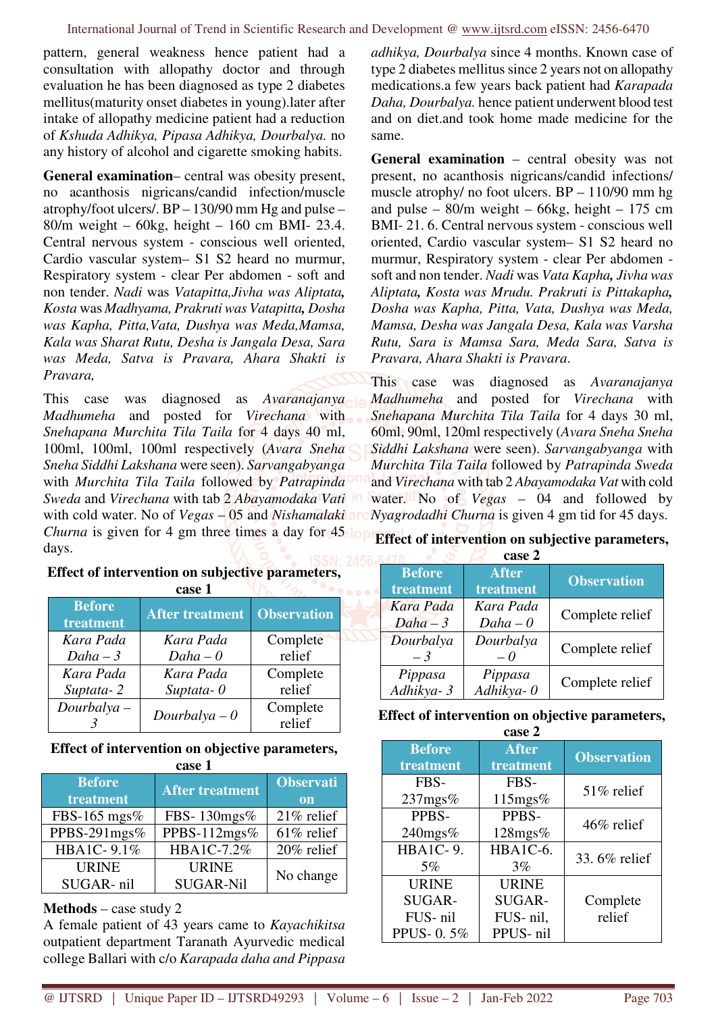pattern, general weakness hence patient had a consultation with allopathy doctor and through evaluation he has been diagnosed as type 2 diabetes mellitus(maturity onset diabetes in young).later after intake of allopathy medicine patient had a reduction of *Kshuda Adhikya, Pipasa Adhikya, Dourbalya.* no any history of alcohol and cigarette smoking habits.

**General examination**– central was obesity present, no acanthosis nigricans/candid infection/muscle atrophy/foot ulcers/. BP – 130/90 mm Hg and pulse – 80/m weight – 60kg, height – 160 cm BMI- 23.4. Central nervous system - conscious well oriented, Cardio vascular system– S1 S2 heard no murmur, Respiratory system - clear Per abdomen - soft and non tender. *Nadi* was *Vatapitta,Jivha was Aliptata, Kosta* was *Madhyama, Prakruti was Vatapitta, Dosha was Kapha, Pitta,Vata, Dushya was Meda,Mamsa, Kala was Sharat Rutu, Desha is Jangala Desa, Sara was Meda, Satva is Pravara, Ahara Shakti is Pravara,* 

This case was diagnosed as *Avaranajanya Madhumeha* and posted for *Virechana* with *Snehapana Murchita Tila Taila* for 4 days 40 ml, 100ml, 100ml, 100ml respectively (*Avara Sneha Sneha Siddhi Lakshana* were seen). *Sarvangabyanga* with *Murchita Tila Taila* followed by *Patrapinda Sweda* and *Virechana* with tab 2 *Abayamodaka Vati* with cold water. No of *Vegas* – 05 and *Nishamalaki Churna* is given for 4 gm three times a day for 45 long days.

**Effect of intervention on subjective parameters,** 

|                            | yası 1                 |                    |
|----------------------------|------------------------|--------------------|
| <b>Before</b><br>treatment | <b>After treatment</b> | <b>Observation</b> |
| Kara Pada                  | Kara Pada              | Complete           |
| $Daha-3$                   | $Daha - 0$             | relief             |
| Kara Pada                  | Kara Pada              | Complete           |
| Suptata-2                  | Suptata- $0$           | relief             |
| $Dourbalya -$              | $Dourbalya - 0$        | Complete           |
|                            |                        | relief             |

# **case 1**

## **Effect of intervention on objective parameters, case 1**

| <b>Before</b><br>treatment | <b>After treatment</b> | <b>Observati</b><br>on |
|----------------------------|------------------------|------------------------|
| FBS-165 mgs%               | FBS-130mgs%            | $21\%$ relief          |
| PPBS-291mgs%               | PPBS-112mgs%           | 61% relief             |
| HBA1C-9.1%                 | HBA1C-7.2%             | 20% relief             |
| <b>URINE</b>               | <b>URINE</b>           | No change              |
| SUGAR-nil                  | <b>SUGAR-Nil</b>       |                        |

# **Methods** – case study 2

A female patient of 43 years came to *Kayachikitsa* outpatient department Taranath Ayurvedic medical college Ballari with c/o *Karapada daha and Pippasa* 

*adhikya, Dourbalya* since 4 months. Known case of type 2 diabetes mellitus since 2 years not on allopathy medications.a few years back patient had *Karapada Daha, Dourbalya.* hence patient underwent blood test and on diet.and took home made medicine for the same.

**General examination** – central obesity was not present, no acanthosis nigricans/candid infections/ muscle atrophy/ no foot ulcers. BP – 110/90 mm hg and pulse –  $80/m$  weight –  $66kg$ , height – 175 cm BMI- 21. 6. Central nervous system - conscious well oriented, Cardio vascular system– S1 S2 heard no murmur, Respiratory system - clear Per abdomen soft and non tender. *Nadi* was *Vata Kapha, Jivha was Aliptata, Kosta was Mrudu. Prakruti is Pittakapha, Dosha was Kapha, Pitta, Vata, Dushya was Meda, Mamsa, Desha was Jangala Desa, Kala was Varsha Rutu, Sara is Mamsa Sara, Meda Sara, Satva is Pravara, Ahara Shakti is Pravara*.

This case was diagnosed as *Avaranajanya Madhumeha* and posted for *Virechana* with *Snehapana Murchita Tila Taila* for 4 days 30 ml, 60ml, 90ml, 120ml respectively (*Avara Sneha Sneha Siddhi Lakshana* were seen). *Sarvangabyanga* with *Murchita Tila Taila* followed by *Patrapinda Sweda* and *Virechana* with tab 2 *Abayamodaka Vat* with cold water. No of *Vegas* – 04 and followed by *Nyagrodadhi Churna* is given 4 gm tid for 45 days.

## **Effect of intervention on subjective parameters,**

|               | case 2                   |                    |
|---------------|--------------------------|--------------------|
| <b>Before</b> | <b>After</b>             | <b>Observation</b> |
| treatment     | treatment                |                    |
| Kara Pada     | Kara Pada                | Complete relief    |
| $Daha-3$      | $Daha - 0$               |                    |
| Dourbalya     | Dourbalya                | Complete relief    |
| $-3$          | $\overline{\phantom{0}}$ |                    |
| Pippasa       | Pippasa                  | Complete relief    |
| Adhikya-3     | Adhikya-0                |                    |

|  |  | Effect of intervention on objective parameters, |
|--|--|-------------------------------------------------|
|  |  |                                                 |

|                                                | case 2                                         |                    |
|------------------------------------------------|------------------------------------------------|--------------------|
| <b>Before</b><br>treatment                     | <b>After</b><br>treatment                      | <b>Observation</b> |
| FBS-<br>$237$ mgs $%$                          | FBS-<br>115mgs%                                | $51\%$ relief      |
| PPBS-<br>240mgs%                               | PPBS-<br>$128$ mgs $%$                         | 46% relief         |
| <b>HBA1C-9.</b><br>5%                          | HBA1C-6.<br>3%                                 | 33.6% relief       |
| <b>URINE</b><br>SUGAR-<br>FUS-nil<br>PPUS-0.5% | <b>URINE</b><br>SUGAR-<br>FUS-nil,<br>PPUS-nil | Complete<br>relief |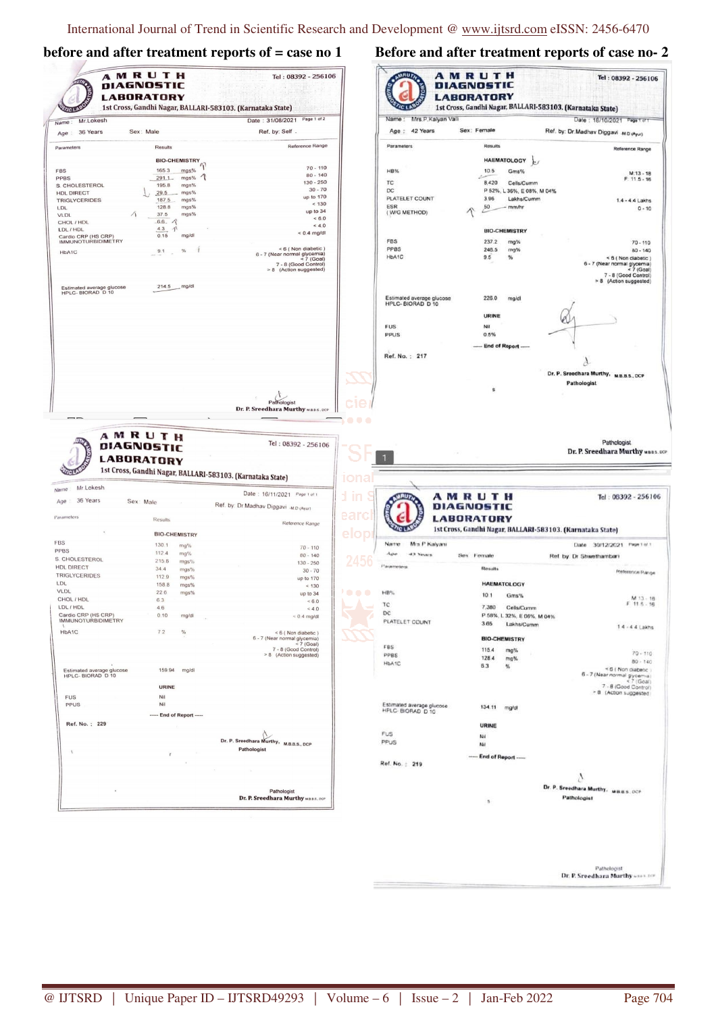# **before and after treatment reports of = case no 1 Before and after treatment reports of case no- 2**

| <b>TIC LABS</b><br>Mr.Lokesh<br>Name:                                                                                                                                                 |                                                  |                          | Date: 31/08/2021 Page 1 of 2                                                                                      |                  | Mrs.P.Kalyan Valli<br>Name:                    |                                                            |                                                  | Date: 18/10/2021 Page 1 of 1           |                                                                                                                |
|---------------------------------------------------------------------------------------------------------------------------------------------------------------------------------------|--------------------------------------------------|--------------------------|-------------------------------------------------------------------------------------------------------------------|------------------|------------------------------------------------|------------------------------------------------------------|--------------------------------------------------|----------------------------------------|----------------------------------------------------------------------------------------------------------------|
| 36 Years<br>Age                                                                                                                                                                       | Sex: Male                                        |                          | Ref. by: Self.                                                                                                    |                  | Age: 42 Years                                  | Sex: Female                                                |                                                  | Ref. by: Dr.Madhav Diggavi -MD (Ayur)  |                                                                                                                |
| Parameters                                                                                                                                                                            | Results                                          |                          | Reference Range                                                                                                   |                  | Parameters                                     |                                                            | Results                                          |                                        | Reference Range                                                                                                |
|                                                                                                                                                                                       | <b>BIO-CHEMISTRY</b>                             |                          |                                                                                                                   |                  |                                                |                                                            | <b>HAEMATOLOGY</b>                               |                                        |                                                                                                                |
| <b>FBS</b>                                                                                                                                                                            | 165.3                                            | mgs%                     | $70 - 110$<br>$80 - 140$                                                                                          |                  | <b>HB%</b>                                     |                                                            | 10.5<br>Gms%                                     |                                        | $M: 13 - 18$                                                                                                   |
| PPBS<br>S. CHOLESTEROL                                                                                                                                                                | $291.1 -$<br>195.8                               | mgs%<br>$\Delta$<br>mgs% | $130 - 250$                                                                                                       |                  | TC                                             |                                                            | 8,420<br>Cells/Cumm                              |                                        | $F: 11.5 - 16$                                                                                                 |
| <b>HDL DIRECT</b>                                                                                                                                                                     | 29.5                                             | mgs%                     | $30 - 70$<br>up to 170                                                                                            |                  | DC<br>PLATELET COUNT                           |                                                            | P 52%, L 36%, E 08%, M 04%                       |                                        |                                                                                                                |
| <b>TRIGLYCERIDES</b><br>LDL                                                                                                                                                           | 187.5<br>128.8                                   | mgs%<br>mgs%             | < 130                                                                                                             |                  | ESR                                            |                                                            | 3.96<br>Lakhs/Cumm<br>50<br>mm/hr                |                                        | 1.4 - 4.4 Lakhs<br>$0 - 10$                                                                                    |
| Δ<br><b>VLDL</b>                                                                                                                                                                      | 37.5                                             | mgs%                     | up to 34<br>< 6.0                                                                                                 |                  | (W/G METHOD)                                   |                                                            |                                                  |                                        |                                                                                                                |
| CHOL / HDL<br>LDL / HDL                                                                                                                                                               | 66.7<br>4.3<br>$\boldsymbol{\tau}$               |                          | < 4.0                                                                                                             |                  |                                                |                                                            | <b>BIO-CHEMISTRY</b>                             |                                        |                                                                                                                |
| Cardio CRP (HS CRP)<br><b>IMMUNOTURBIDIMETRY</b>                                                                                                                                      | 0.15                                             | mg/dl                    | $< 0.4$ mg/dl                                                                                                     |                  | FBS                                            |                                                            | 237.2                                            |                                        |                                                                                                                |
| HbA1C                                                                                                                                                                                 | 9.1                                              | $\%$                     | < 6 (Non diabetic)                                                                                                |                  | PPBS                                           |                                                            | mg%<br>246.5<br>mg%                              |                                        | $70 - 110$<br>$80 - 140$                                                                                       |
|                                                                                                                                                                                       |                                                  |                          | 6 - 7 (Near normal glycemia)<br>< 7 (Goal)<br>7 - 8 (Good Control)<br>> 8 (Action suggested)                      |                  | HbA1C                                          |                                                            | 9.5<br>%                                         |                                        | <6 (Non diabetic)<br>6 - 7 (Near normal glycemia)<br>< 7 (Goal)<br>7 - 8 (Good Control)                        |
| Estimated average glucose<br>HPLC- BIORAD D 10                                                                                                                                        | 214.5                                            | mg/dl                    |                                                                                                                   |                  |                                                |                                                            |                                                  |                                        | > 8 (Action suggested)                                                                                         |
|                                                                                                                                                                                       |                                                  |                          |                                                                                                                   |                  | Estimated average glucose<br>HPLC- BIORAD D 10 |                                                            | 226.0<br>mg/dl                                   |                                        |                                                                                                                |
|                                                                                                                                                                                       |                                                  |                          |                                                                                                                   |                  |                                                |                                                            | <b>URINE</b>                                     |                                        |                                                                                                                |
|                                                                                                                                                                                       |                                                  |                          |                                                                                                                   |                  | <b>FUS</b>                                     |                                                            | Nil                                              |                                        |                                                                                                                |
|                                                                                                                                                                                       |                                                  |                          |                                                                                                                   |                  | <b>PPUS</b>                                    |                                                            | 0.5%                                             |                                        |                                                                                                                |
|                                                                                                                                                                                       |                                                  |                          |                                                                                                                   |                  |                                                |                                                            | ----- End of Report -----                        |                                        |                                                                                                                |
|                                                                                                                                                                                       |                                                  |                          |                                                                                                                   |                  | Ref. No.: 217                                  |                                                            |                                                  |                                        |                                                                                                                |
|                                                                                                                                                                                       |                                                  |                          |                                                                                                                   |                  |                                                |                                                            |                                                  | Dr. P. Sreedhara Murthy, M.B.B.S., DCP |                                                                                                                |
|                                                                                                                                                                                       |                                                  |                          |                                                                                                                   |                  |                                                |                                                            |                                                  | Pathologist                            |                                                                                                                |
|                                                                                                                                                                                       |                                                  |                          |                                                                                                                   |                  |                                                |                                                            | s                                                |                                        |                                                                                                                |
|                                                                                                                                                                                       |                                                  |                          | Pathologist                                                                                                       |                  |                                                |                                                            |                                                  |                                        |                                                                                                                |
|                                                                                                                                                                                       |                                                  |                          | Dr. P. Sreedhara Murthy MB.B.S., DCP                                                                              |                  |                                                |                                                            |                                                  |                                        |                                                                                                                |
| Mr.Lokesh                                                                                                                                                                             | AMRUTH<br><b>DIAGNOSTIC</b><br><b>LABORATORY</b> |                          | Tel: 08392 - 256106<br>1st Cross, Gandhi Nagar, BALLARI-583103. (Karnataka State)<br>Date: 16/11/2021 Page 1 of 1 | .<br><u>iona</u> |                                                | AMRUTH                                                     |                                                  |                                        | Pathologist                                                                                                    |
| 36 Years                                                                                                                                                                              | Sex: Male                                        |                          | Ref. by: Dr. Madhav Diggavi -M.D (Ayur)                                                                           | ın               |                                                | DIAGNOSTIC                                                 |                                                  |                                        |                                                                                                                |
|                                                                                                                                                                                       | Results                                          |                          | Reference Range                                                                                                   | earc             |                                                | <b>LABORATORY</b>                                          |                                                  |                                        |                                                                                                                |
| Name<br>Age<br>Parameters                                                                                                                                                             | <b>BIO-CHEMISTRY</b>                             |                          |                                                                                                                   | elopi            |                                                | 1st Cross, Gandhi Nagar, BALLARI-583103. (Karnataka State) |                                                  |                                        |                                                                                                                |
|                                                                                                                                                                                       | 130.1                                            | mg%                      | $70 - 110$                                                                                                        |                  | Name<br>Mrs P Kalyani                          |                                                            |                                                  | Date 30/12/2021 Page 1 of 1            |                                                                                                                |
|                                                                                                                                                                                       | 112.4<br>215.8                                   | mg%                      | $80 - 140$                                                                                                        |                  | 43 Years                                       | Sex Female                                                 |                                                  | Ref by Dr Shwethambari                 |                                                                                                                |
| <b>FBS</b><br><b>PPBS</b><br>S. CHOLESTEROL<br><b>HDL DIRECT</b>                                                                                                                      | 34.4                                             | mgs%<br>mgs%             | $130 - 250$<br>$30 - 70$                                                                                          |                  | Parameters                                     |                                                            | Results                                          |                                        | Dr. P. Sreedhara Murthy MBBS.DCP<br>Tel: 08392 - 256106<br>Reference Range                                     |
| <b>TRIGLYCERIDES</b><br>LDL                                                                                                                                                           | 112.9                                            | mgs%                     | up to 170                                                                                                         |                  |                                                |                                                            |                                                  |                                        |                                                                                                                |
|                                                                                                                                                                                       | 158.8<br>22.6                                    | mgs%<br>mgs%             | < 130<br>up to 34                                                                                                 | , <b>. .</b> .   | $H\bar{B}\%$                                   |                                                            | <b>HAEMATOLOGY</b>                               |                                        |                                                                                                                |
|                                                                                                                                                                                       | 6.3                                              |                          | < 6.0                                                                                                             |                  |                                                |                                                            | 10.1<br>Gms%                                     |                                        |                                                                                                                |
|                                                                                                                                                                                       | 4.6<br>0.10                                      | mg/dl                    | < 4.0                                                                                                             |                  | ТC<br>DC                                       |                                                            | 7,380<br>Cells/Cumm                              |                                        |                                                                                                                |
|                                                                                                                                                                                       |                                                  |                          | $< 0.4$ mg/dl                                                                                                     |                  | PLATELET COUNT                                 |                                                            | P 58%, L 32%, E 06%, M 04%<br>3.65<br>Lakhs/Cumm |                                        |                                                                                                                |
|                                                                                                                                                                                       | 72                                               | $\%$                     | <6 (Non diabetic)                                                                                                 |                  |                                                |                                                            |                                                  |                                        |                                                                                                                |
|                                                                                                                                                                                       |                                                  |                          | 6 - 7 (Near normal glycemia)<br>$< 7$ (Goal)                                                                      |                  | <b>FBS</b>                                     |                                                            | <b>BIO-CHEMISTRY</b>                             |                                        |                                                                                                                |
|                                                                                                                                                                                       |                                                  |                          | 7 - 8 (Good Control)<br>> 8 (Action suggested)                                                                    |                  | PPBS                                           |                                                            | 115.4<br>mg%<br>1284<br>mg%                      |                                        |                                                                                                                |
|                                                                                                                                                                                       | 159.94                                           | mg/dl                    |                                                                                                                   |                  | HbA1C                                          |                                                            | 6.3<br>%                                         |                                        |                                                                                                                |
|                                                                                                                                                                                       |                                                  |                          |                                                                                                                   |                  |                                                |                                                            |                                                  |                                        | 6 - 7 (Near normal glycemia)                                                                                   |
|                                                                                                                                                                                       | <b>URINE</b>                                     |                          |                                                                                                                   |                  |                                                |                                                            |                                                  |                                        | 7 - 8 (Good Control)                                                                                           |
|                                                                                                                                                                                       | Nil<br>Nil                                       |                          |                                                                                                                   |                  |                                                |                                                            |                                                  |                                        | > 8 (Action suggested                                                                                          |
|                                                                                                                                                                                       | ----- End of Report -----                        |                          |                                                                                                                   |                  | Estimated average glucose<br>HPLC- BIORAD D 10 |                                                            | 134.11 mg/dl                                     |                                        |                                                                                                                |
|                                                                                                                                                                                       |                                                  |                          |                                                                                                                   |                  |                                                |                                                            | <b>URINE</b>                                     |                                        | $<$ ? (Goal)                                                                                                   |
|                                                                                                                                                                                       |                                                  |                          |                                                                                                                   |                  | <b>FUS</b>                                     |                                                            | Nil                                              |                                        |                                                                                                                |
|                                                                                                                                                                                       |                                                  |                          | Dr. P. Sreedhara Murthy, M.B.B.S., DCP                                                                            |                  | PPUS                                           |                                                            | Nil                                              |                                        |                                                                                                                |
|                                                                                                                                                                                       |                                                  |                          | Pathologist                                                                                                       |                  |                                                |                                                            | ----- End of Report -----                        |                                        |                                                                                                                |
|                                                                                                                                                                                       |                                                  |                          |                                                                                                                   |                  | Ref. No.: 219                                  |                                                            |                                                  |                                        |                                                                                                                |
| VLDL<br>CHOL / HDL<br>LDL / HDL<br>Cardio CRP (HS CRP)<br><b>IMMUNOTURBIDIMETRY</b><br>HbA1C<br>Estimated average glucose<br>HPLC- BIORAD D 10<br><b>FUS</b><br>PPUS<br>Ref. No.: 229 |                                                  |                          |                                                                                                                   |                  |                                                |                                                            |                                                  |                                        |                                                                                                                |
|                                                                                                                                                                                       |                                                  |                          | Pathologist                                                                                                       |                  |                                                |                                                            |                                                  | Dr. P. Sreedhara Murthy. MBBS. OCP     |                                                                                                                |
|                                                                                                                                                                                       |                                                  |                          | Dr. P. Sreedhara Murthy MBBS. OCP                                                                                 |                  |                                                |                                                            | s                                                | Pathologist                            |                                                                                                                |
|                                                                                                                                                                                       |                                                  |                          |                                                                                                                   |                  |                                                |                                                            |                                                  |                                        | M 13 - 18<br>$P$ 11.5 $\cdot$ 16<br>$1.4 - 4.4$ Lakhs<br>$70 - 110$<br>$80 - 140$<br>$\leq 6$ ( Non diabetic ) |